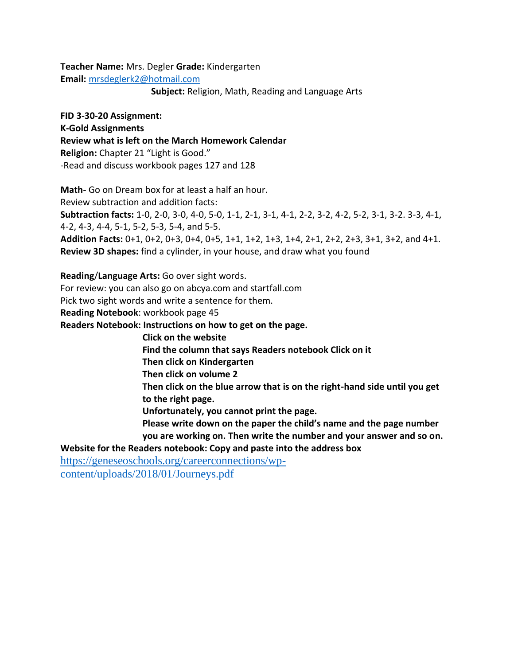**Teacher Name:** Mrs. Degler **Grade:** Kindergarten **Email:** [mrsdeglerk2@hotmail.com](mailto:mrsdeglerk2@hotmail.com)

**Subject:** Religion, Math, Reading and Language Arts

**FID 3-30-20 Assignment: K-Gold Assignments Review what is left on the March Homework Calendar Religion:** Chapter 21 "Light is Good." -Read and discuss workbook pages 127 and 128

**Math-** Go on Dream box for at least a half an hour. Review subtraction and addition facts: **Subtraction facts:** 1-0, 2-0, 3-0, 4-0, 5-0, 1-1, 2-1, 3-1, 4-1, 2-2, 3-2, 4-2, 5-2, 3-1, 3-2. 3-3, 4-1, 4-2, 4-3, 4-4, 5-1, 5-2, 5-3, 5-4, and 5-5. **Addition Facts:** 0+1, 0+2, 0+3, 0+4, 0+5, 1+1, 1+2, 1+3, 1+4, 2+1, 2+2, 2+3, 3+1, 3+2, and 4+1. **Review 3D shapes:** find a cylinder, in your house, and draw what you found

**Reading**/**Language Arts:** Go over sight words.

For review: you can also go on abcya.com and startfall.com

Pick two sight words and write a sentence for them.

**Reading Notebook**: workbook page 45

**Readers Notebook: Instructions on how to get on the page.** 

 **Click on the website**

 **Find the column that says Readers notebook Click on it**

 **Then click on Kindergarten** 

 **Then click on volume 2** 

 **Then click on the blue arrow that is on the right-hand side until you get to the right page.** 

**Unfortunately, you cannot print the page.**

 **Please write down on the paper the child's name and the page number you are working on. Then write the number and your answer and so on.**

**Website for the Readers notebook: Copy and paste into the address box**

[https://geneseoschools.org/careerconnections/wp](https://geneseoschools.org/careerconnections/wp-content/uploads/2018/01/Journeys.pdf)[content/uploads/2018/01/Journeys.pdf](https://geneseoschools.org/careerconnections/wp-content/uploads/2018/01/Journeys.pdf)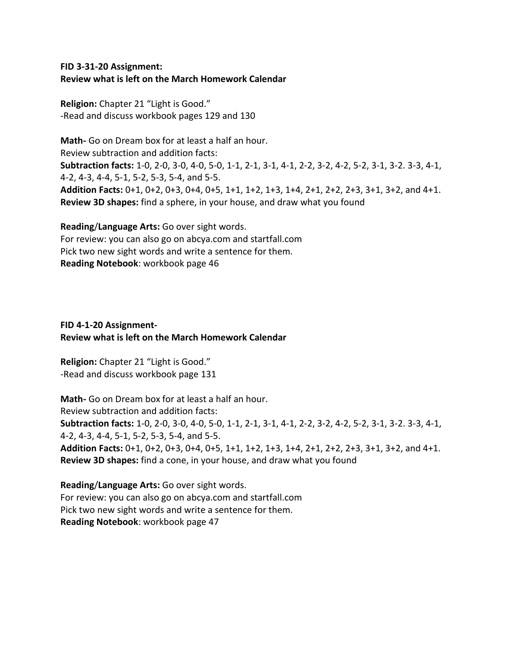## **FID 3-31-20 Assignment: Review what is left on the March Homework Calendar**

**Religion:** Chapter 21 "Light is Good." -Read and discuss workbook pages 129 and 130

**Math-** Go on Dream box for at least a half an hour. Review subtraction and addition facts: **Subtraction facts:** 1-0, 2-0, 3-0, 4-0, 5-0, 1-1, 2-1, 3-1, 4-1, 2-2, 3-2, 4-2, 5-2, 3-1, 3-2. 3-3, 4-1, 4-2, 4-3, 4-4, 5-1, 5-2, 5-3, 5-4, and 5-5. **Addition Facts:** 0+1, 0+2, 0+3, 0+4, 0+5, 1+1, 1+2, 1+3, 1+4, 2+1, 2+2, 2+3, 3+1, 3+2, and 4+1. **Review 3D shapes:** find a sphere, in your house, and draw what you found

**Reading**/**Language Arts:** Go over sight words. For review: you can also go on abcya.com and startfall.com Pick two new sight words and write a sentence for them. **Reading Notebook**: workbook page 46

## **FID 4-1-20 Assignment-Review what is left on the March Homework Calendar**

**Religion:** Chapter 21 "Light is Good." -Read and discuss workbook page 131

**Math-** Go on Dream box for at least a half an hour. Review subtraction and addition facts: **Subtraction facts:** 1-0, 2-0, 3-0, 4-0, 5-0, 1-1, 2-1, 3-1, 4-1, 2-2, 3-2, 4-2, 5-2, 3-1, 3-2. 3-3, 4-1, 4-2, 4-3, 4-4, 5-1, 5-2, 5-3, 5-4, and 5-5. **Addition Facts:** 0+1, 0+2, 0+3, 0+4, 0+5, 1+1, 1+2, 1+3, 1+4, 2+1, 2+2, 2+3, 3+1, 3+2, and 4+1. **Review 3D shapes:** find a cone, in your house, and draw what you found

**Reading**/**Language Arts:** Go over sight words. For review: you can also go on abcya.com and startfall.com Pick two new sight words and write a sentence for them. **Reading Notebook**: workbook page 47